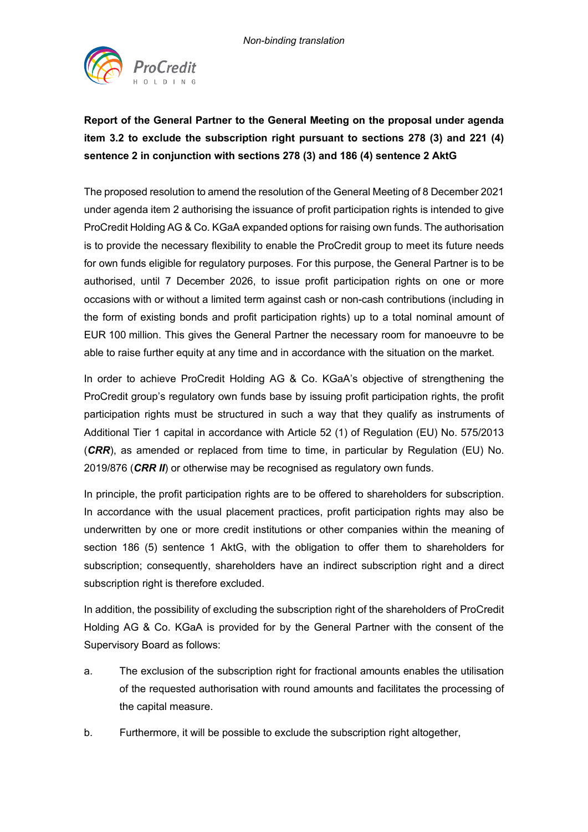

## **Report of the General Partner to the General Meeting on the proposal under agenda item 3.2 to exclude the subscription right pursuant to sections 278 (3) and 221 (4) sentence 2 in conjunction with sections 278 (3) and 186 (4) sentence 2 AktG**

The proposed resolution to amend the resolution of the General Meeting of 8 December 2021 under agenda item 2 authorising the issuance of profit participation rights is intended to give ProCredit Holding AG & Co. KGaA expanded options for raising own funds. The authorisation is to provide the necessary flexibility to enable the ProCredit group to meet its future needs for own funds eligible for regulatory purposes. For this purpose, the General Partner is to be authorised, until 7 December 2026, to issue profit participation rights on one or more occasions with or without a limited term against cash or non-cash contributions (including in the form of existing bonds and profit participation rights) up to a total nominal amount of EUR 100 million. This gives the General Partner the necessary room for manoeuvre to be able to raise further equity at any time and in accordance with the situation on the market.

In order to achieve ProCredit Holding AG & Co. KGaA's objective of strengthening the ProCredit group's regulatory own funds base by issuing profit participation rights, the profit participation rights must be structured in such a way that they qualify as instruments of Additional Tier 1 capital in accordance with Article 52 (1) of Regulation (EU) No. 575/2013 (*CRR*), as amended or replaced from time to time, in particular by Regulation (EU) No. 2019/876 (*CRR II*) or otherwise may be recognised as regulatory own funds.

In principle, the profit participation rights are to be offered to shareholders for subscription. In accordance with the usual placement practices, profit participation rights may also be underwritten by one or more credit institutions or other companies within the meaning of section 186 (5) sentence 1 AktG, with the obligation to offer them to shareholders for subscription; consequently, shareholders have an indirect subscription right and a direct subscription right is therefore excluded.

In addition, the possibility of excluding the subscription right of the shareholders of ProCredit Holding AG & Co. KGaA is provided for by the General Partner with the consent of the Supervisory Board as follows:

- a. The exclusion of the subscription right for fractional amounts enables the utilisation of the requested authorisation with round amounts and facilitates the processing of the capital measure.
- b. Furthermore, it will be possible to exclude the subscription right altogether,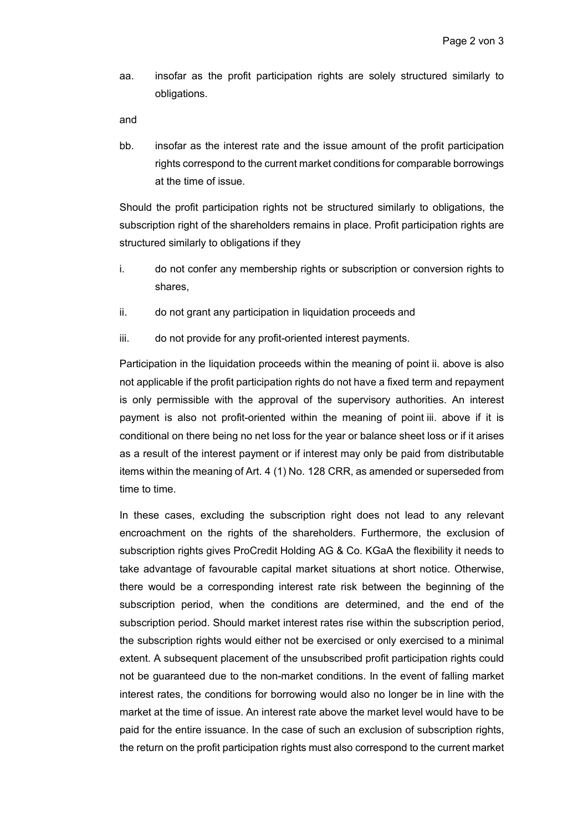aa. insofar as the profit participation rights are solely structured similarly to obligations.

and

bb. insofar as the interest rate and the issue amount of the profit participation rights correspond to the current market conditions for comparable borrowings at the time of issue.

Should the profit participation rights not be structured similarly to obligations, the subscription right of the shareholders remains in place. Profit participation rights are structured similarly to obligations if they

- i. do not confer any membership rights or subscription or conversion rights to shares,
- ii. do not grant any participation in liquidation proceeds and
- iii. do not provide for any profit-oriented interest payments.

Participation in the liquidation proceeds within the meaning of point ii. above is also not applicable if the profit participation rights do not have a fixed term and repayment is only permissible with the approval of the supervisory authorities. An interest payment is also not profit-oriented within the meaning of point iii. above if it is conditional on there being no net loss for the year or balance sheet loss or if it arises as a result of the interest payment or if interest may only be paid from distributable items within the meaning of Art. 4 (1) No. 128 CRR, as amended or superseded from time to time.

In these cases, excluding the subscription right does not lead to any relevant encroachment on the rights of the shareholders. Furthermore, the exclusion of subscription rights gives ProCredit Holding AG & Co. KGaA the flexibility it needs to take advantage of favourable capital market situations at short notice. Otherwise, there would be a corresponding interest rate risk between the beginning of the subscription period, when the conditions are determined, and the end of the subscription period. Should market interest rates rise within the subscription period, the subscription rights would either not be exercised or only exercised to a minimal extent. A subsequent placement of the unsubscribed profit participation rights could not be guaranteed due to the non-market conditions. In the event of falling market interest rates, the conditions for borrowing would also no longer be in line with the market at the time of issue. An interest rate above the market level would have to be paid for the entire issuance. In the case of such an exclusion of subscription rights, the return on the profit participation rights must also correspond to the current market